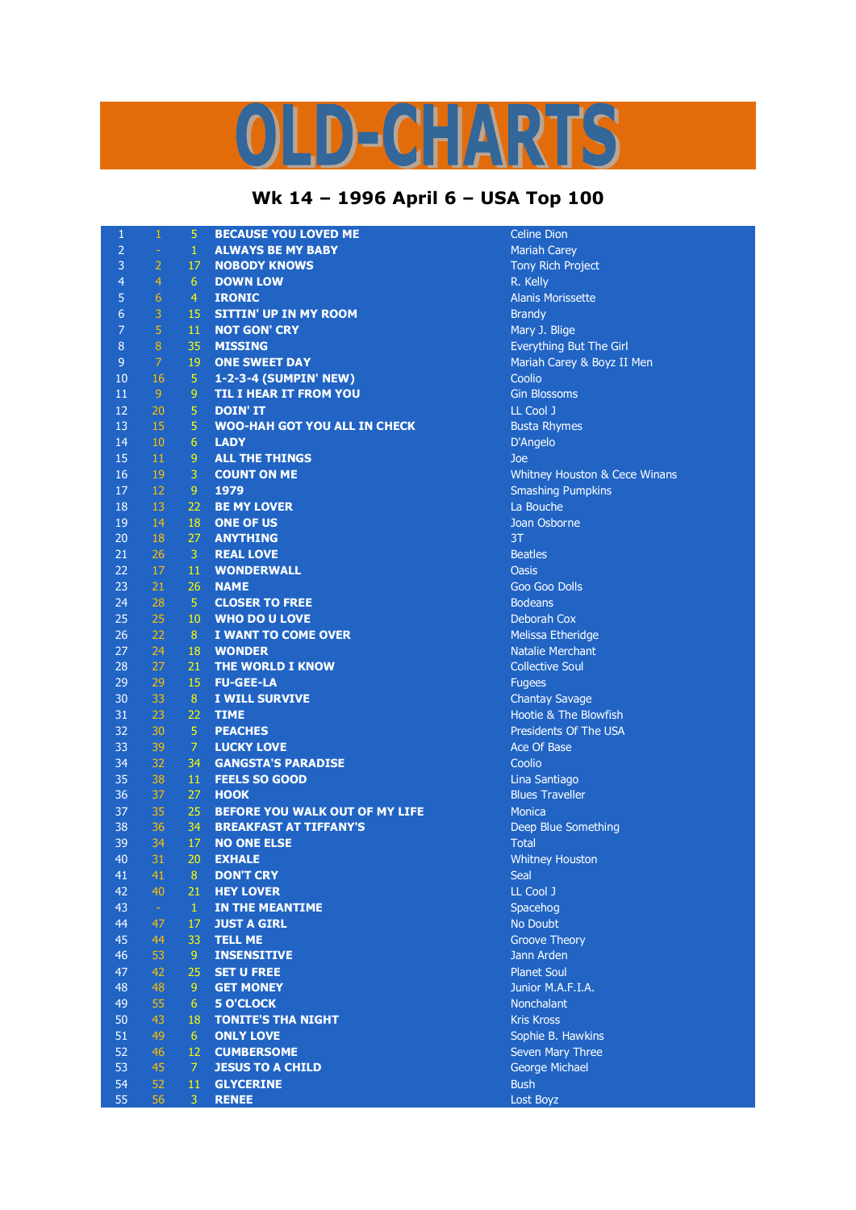## LD-CHARTS

## **Wk 14 – 1996 April 6 – USA Top 100**

| $\mathbf{1}$   | $\mathbf{1}$    | $\overline{5}$  | <b>BECAUSE YOU LOVED ME</b>         | <b>Celine Dion</b>            |
|----------------|-----------------|-----------------|-------------------------------------|-------------------------------|
| $\overline{2}$ | ÷               | $\mathbf{1}$    | <b>ALWAYS BE MY BABY</b>            | <b>Mariah Carey</b>           |
| 3              | $\overline{2}$  | 17              | <b>NOBODY KNOWS</b>                 | <b>Tony Rich Project</b>      |
| $\overline{a}$ | 4               | $6\phantom{1}6$ | <b>DOWN LOW</b>                     | R. Kelly                      |
| 5              | $6\phantom{1}6$ | $\overline{4}$  | <b>IRONIC</b>                       | <b>Alanis Morissette</b>      |
| 6              | $\overline{3}$  | 15              | <b>SITTIN' UP IN MY ROOM</b>        | <b>Brandy</b>                 |
| $\overline{7}$ | $\overline{5}$  | 11              | <b>NOT GON' CRY</b>                 | Mary J. Blige                 |
| 8              | $\bf 8$         | 35              | <b>MISSING</b>                      | Everything But The Girl       |
| $9$            | $\overline{7}$  | 19              | <b>ONE SWEET DAY</b>                | Mariah Carey & Boyz II Men    |
| 10             | 16              | 5               | 1-2-3-4 (SUMPIN' NEW)               | Coolio                        |
| 11             | $\overline{9}$  | 9               | <b>TIL I HEAR IT FROM YOU</b>       | <b>Gin Blossoms</b>           |
| 12             | 20              | 5               | <b>DOIN' IT</b>                     | LL Cool J                     |
| 13             | 15              | 5               | <b>WOO-HAH GOT YOU ALL IN CHECK</b> | <b>Busta Rhymes</b>           |
| 14             | 10              | 6               | <b>LADY</b>                         | D'Angelo                      |
| 15             | $11\,$          | 9               | <b>ALL THE THINGS</b>               | Joe                           |
| 16             | 19              | 3               | <b>COUNT ON ME</b>                  |                               |
|                | 12              | 9               |                                     | Whitney Houston & Cece Winans |
| 17             |                 |                 | 1979                                | <b>Smashing Pumpkins</b>      |
| 18             | 13              | 22              | <b>BE MY LOVER</b>                  | La Bouche                     |
| 19             | 14              | 18              | <b>ONE OF US</b>                    | Joan Osborne                  |
| 20             | 18              | 27              | <b>ANYTHING</b>                     | 3T                            |
| 21             | 26              | 3               | <b>REAL LOVE</b>                    | <b>Beatles</b>                |
| 22             | 17              | 11              | <b>WONDERWALL</b>                   | <b>Oasis</b>                  |
| 23             | 21              | 26              | <b>NAME</b>                         | Goo Goo Dolls                 |
| 24             | 28              | $\overline{5}$  | <b>CLOSER TO FREE</b>               | <b>Bodeans</b>                |
| 25             | 25              | 10              | <b>WHO DO U LOVE</b>                | Deborah Cox                   |
| 26             | 22              | 8               | <b>I WANT TO COME OVER</b>          | Melissa Etheridge             |
| 27             | 24              | 18              | <b>WONDER</b>                       | <b>Natalie Merchant</b>       |
| 28             | 27              | 21              | THE WORLD I KNOW                    | <b>Collective Soul</b>        |
| 29             | 29              | 15              | <b>FU-GEE-LA</b>                    | <b>Fugees</b>                 |
| 30             | 33              | 8               | I WILL SURVIVE                      | <b>Chantay Savage</b>         |
| 31             | 23              | 22              | <b>TIME</b>                         | Hootie & The Blowfish         |
| 32             | 30              | 5               | <b>PEACHES</b>                      | Presidents Of The USA         |
| 33             | 39              | 7               | <b>LUCKY LOVE</b>                   | Ace Of Base                   |
| 34             | 32              | 34              | <b>GANGSTA'S PARADISE</b>           | Coolio                        |
| 35             | 38              | 11              | <b>FEELS SO GOOD</b>                | Lina Santiago                 |
| 36             | 37              | 27              | <b>HOOK</b>                         | <b>Blues Traveller</b>        |
| 37             | 35              | 25              | BEFORE YOU WALK OUT OF MY LIFE      | <b>Monica</b>                 |
| 38             | 36              | 34              | <b>BREAKFAST AT TIFFANY'S</b>       | Deep Blue Something           |
| 39             | 34              | 17              | <b>NO ONE ELSE</b>                  | <b>Total</b>                  |
| 40             | 31              | 20              | <b>EXHALE</b>                       | <b>Whitney Houston</b>        |
| 41             | 41              | $\bf 8$         | <b>DON'T CRY</b>                    | Seal                          |
| 42             | 40              | 21              | <b>HEY LOVER</b>                    | LL Cool J                     |
| 43             | $\omega$        | $\mathbf{1}$    | IN THE MEANTIME                     | Spacehog                      |
| 44             | 47              | 17              | <b>JUST A GIRL</b>                  | No Doubt                      |
| 45             | 44              | 33              | <b>TELL ME</b>                      | <b>Groove Theory</b>          |
| 46             | 53              | 9               | <b>INSENSITIVE</b>                  | Jann Arden                    |
| 47             | 42              | 25              | <b>SET U FREE</b>                   | <b>Planet Soul</b>            |
| 48             | 48              | 9               | <b>GET MONEY</b>                    | Junior M.A.F.I.A.             |
| 49             | 55              | 6               | <b>5 O'CLOCK</b>                    | Nonchalant                    |
| 50             | 43              | 18              | <b>TONITE'S THA NIGHT</b>           | <b>Kris Kross</b>             |
| 51             | 49              | 6 <sup>1</sup>  | <b>ONLY LOVE</b>                    | Sophie B. Hawkins             |
| 52             | 46              | 12              | <b>CUMBERSOME</b>                   | Seven Mary Three              |
|                |                 | $\overline{7}$  |                                     |                               |
| 53             | 45              |                 | <b>JESUS TO A CHILD</b>             | George Michael                |
| 54             | 52              | 11              | <b>GLYCERINE</b>                    | <b>Bush</b>                   |
| 55             | 56              | 3               | <b>RENEE</b>                        | Lost Boyz                     |